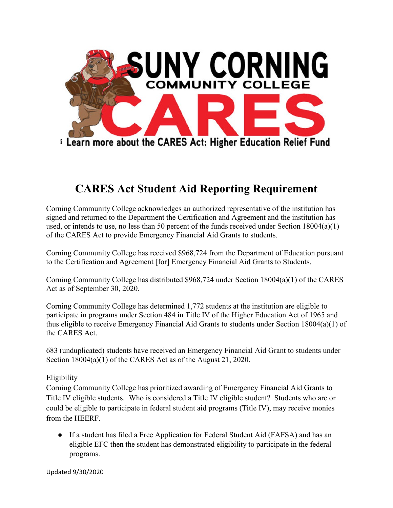

## **CARES Act Student Aid Reporting Requirement**

Corning Community College acknowledges an authorized representative of the institution has signed and returned to the Department the Certification and Agreement and the institution has used, or intends to use, no less than 50 percent of the funds received under Section  $18004(a)(1)$ of the CARES Act to provide Emergency Financial Aid Grants to students.

Corning Community College has received \$968,724 from the Department of Education pursuant to the Certification and Agreement [for] Emergency Financial Aid Grants to Students.

Corning Community College has distributed \$968,724 under Section 18004(a)(1) of the CARES Act as of September 30, 2020.

Corning Community College has determined 1,772 students at the institution are eligible to participate in programs under Section 484 in Title IV of the Higher Education Act of 1965 and thus eligible to receive Emergency Financial Aid Grants to students under Section 18004(a)(1) of the CARES Act.

683 (unduplicated) students have received an Emergency Financial Aid Grant to students under Section 18004(a)(1) of the CARES Act as of the August 21, 2020.

## Eligibility

Corning Community College has prioritized awarding of Emergency Financial Aid Grants to Title IV eligible students. Who is considered a Title IV eligible student? Students who are or could be eligible to participate in federal student aid programs (Title IV), may receive monies from the HEERF.

• If a student has filed a Free Application for Federal Student Aid (FAFSA) and has an eligible EFC then the student has demonstrated eligibility to participate in the federal programs.